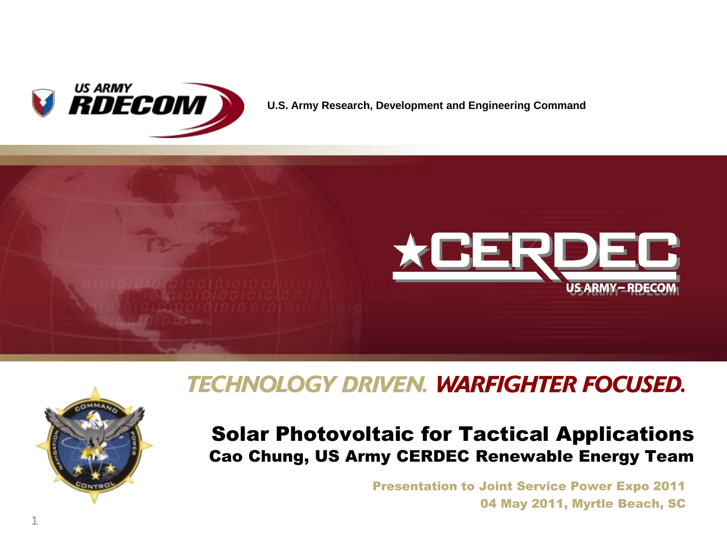

**U.S. Army Research, Development and Engineering Command**





### **TECHNOLOGY DRIVEN. WARFIGHTER FOCUSED.**

#### Solar Photovoltaic for Tactical Applications Cao Chung, US Army CERDEC Renewable Energy Team

Presentation to Joint Service Power Expo 2011 04 May 2011, Myrtle Beach, SC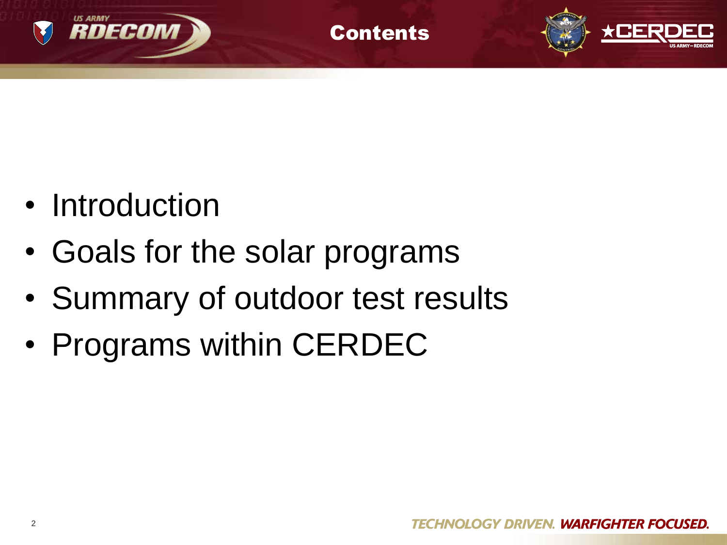

• Introduction

RDECOM

- Goals for the solar programs
- Summary of outdoor test results

**Contents** 

• Programs within CERDEC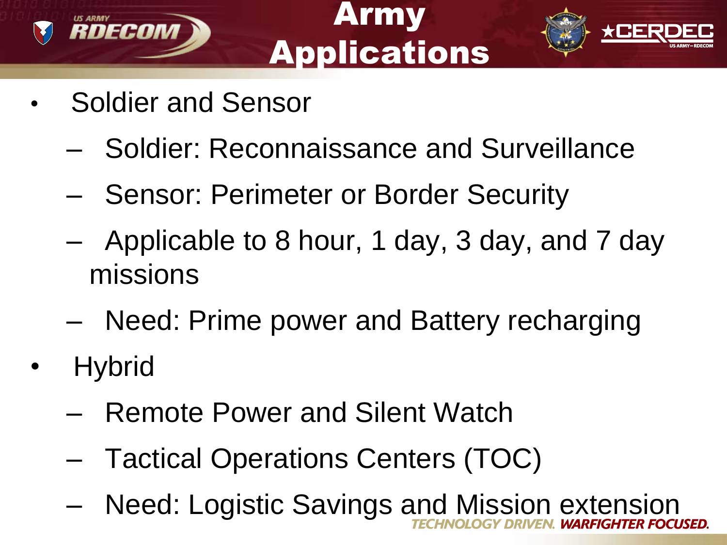

# Army **Applications**



- Soldier and Sensor
	- Soldier: Reconnaissance and Surveillance
	- Sensor: Perimeter or Border Security
	- Applicable to 8 hour, 1 day, 3 day, and 7 day missions
	- Need: Prime power and Battery recharging
- **Hybrid** 
	- Remote Power and Silent Watch
	- Tactical Operations Centers (TOC)
	- Need: Logistic Savings and Mission extension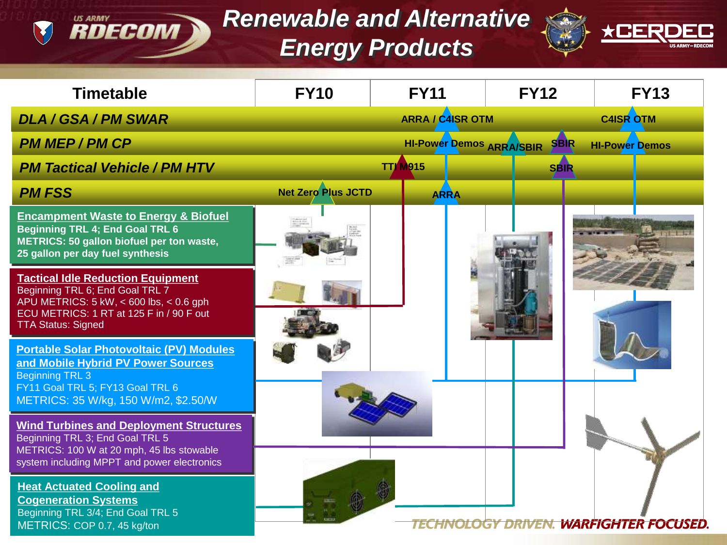### *Renewable and Alternative Energy Products*

**EXPLORE CONT DECONT DE** 



| <b>Timetable</b>                                                                                                                                                                                | <b>FY10</b>               | <b>FY11</b>                     | <b>FY12</b> | <b>FY13</b>                            |
|-------------------------------------------------------------------------------------------------------------------------------------------------------------------------------------------------|---------------------------|---------------------------------|-------------|----------------------------------------|
| <b>DLA / GSA / PM SWAR</b>                                                                                                                                                                      |                           | <b>ARRA / C4ISR OTM</b>         |             | <b>C4ISR OTM</b>                       |
| <b>PM MEP/PM CP</b>                                                                                                                                                                             |                           | <b>HI-Power Demos ARRA/SBIR</b> | <b>SBIR</b> | <b>HI-Power Demos</b>                  |
| <b>PM Tactical Vehicle / PM HTV</b>                                                                                                                                                             |                           | <b>TTJ</b> M915                 | <b>SBIR</b> |                                        |
| <b>PM FSS</b>                                                                                                                                                                                   | <b>Net Zero Plus JCTD</b> | <b>ARRA</b>                     |             |                                        |
| <b>Encampment Waste to Energy &amp; Biofuel</b><br><b>Beginning TRL 4; End Goal TRL 6</b><br>METRICS: 50 gallon biofuel per ton waste,<br>25 gallon per day fuel synthesis                      |                           |                                 |             |                                        |
| <b>Tactical Idle Reduction Equipment</b><br>Beginning TRL 6; End Goal TRL 7<br>APU METRICS: 5 kW, < 600 lbs, < 0.6 gph<br>ECU METRICS: 1 RT at 125 F in / 90 F out<br><b>TTA Status: Signed</b> |                           |                                 |             |                                        |
| <b>Portable Solar Photovoltaic (PV) Modules</b><br>and Mobile Hybrid PV Power Sources<br><b>Beginning TRL 3</b><br>FY11 Goal TRL 5; FY13 Goal TRL 6<br>METRICS: 35 W/kg, 150 W/m2, \$2.50/W     |                           |                                 |             |                                        |
| <b>Wind Turbines and Deployment Structures</b><br>Beginning TRL 3; End Goal TRL 5<br>METRICS: 100 W at 20 mph, 45 lbs stowable<br>system including MPPT and power electronics                   |                           |                                 |             |                                        |
| <b>Heat Actuated Cooling and</b><br><b>Cogeneration Systems</b><br>Beginning TRL 3/4; End Goal TRL 5<br>METRICS: COP 0.7, 45 kg/ton                                                             |                           |                                 |             | TECHNOLOGY DRIVEN. WARFIGHTER FOCUSED. |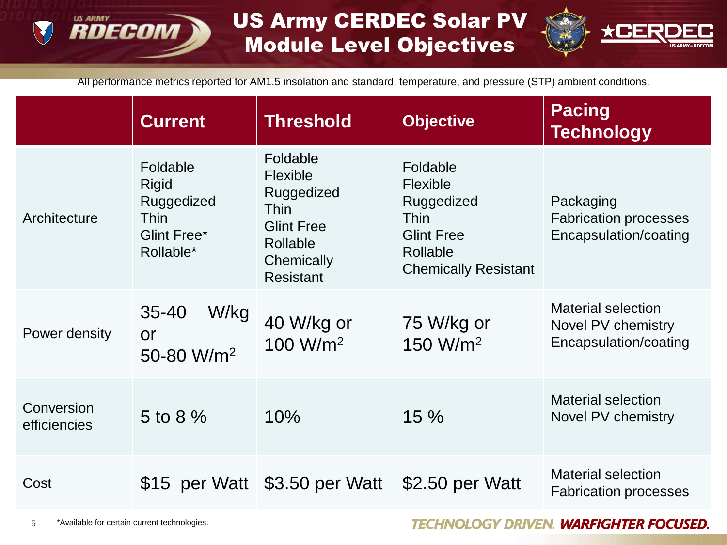#### **US ARMY** RDECOM

### US Army CERDEC Solar PV Module Level Objectives



All performance metrics reported for AM1.5 insolation and standard, temperature, and pressure (STP) ambient conditions.

|                            | <b>Current</b>                                                                    | <b>Threshold</b>                                                                                                     | <b>Objective</b>                                                                                                         | <b>Pacing</b><br><b>Technology</b>                                       |
|----------------------------|-----------------------------------------------------------------------------------|----------------------------------------------------------------------------------------------------------------------|--------------------------------------------------------------------------------------------------------------------------|--------------------------------------------------------------------------|
| Architecture               | Foldable<br><b>Rigid</b><br>Ruggedized<br><b>Thin</b><br>Glint Free*<br>Rollable* | Foldable<br>Flexible<br>Ruggedized<br><b>Thin</b><br><b>Glint Free</b><br>Rollable<br>Chemically<br><b>Resistant</b> | Foldable<br>Flexible<br>Ruggedized<br><b>Thin</b><br><b>Glint Free</b><br><b>Rollable</b><br><b>Chemically Resistant</b> | Packaging<br><b>Fabrication processes</b><br>Encapsulation/coating       |
| Power density              | W/kg<br>$35 - 40$<br><b>or</b><br>50-80 W/m <sup>2</sup>                          | 40 W/kg or<br>100 W/m <sup>2</sup>                                                                                   | 75 W/kg or<br>150 W/m <sup>2</sup>                                                                                       | <b>Material selection</b><br>Novel PV chemistry<br>Encapsulation/coating |
| Conversion<br>efficiencies | 5 to 8 $%$                                                                        | 10%                                                                                                                  | 15%                                                                                                                      | <b>Material selection</b><br>Novel PV chemistry                          |
| Cost                       |                                                                                   | \$15 per Watt \$3.50 per Watt                                                                                        | \$2.50 per Watt                                                                                                          | <b>Material selection</b><br><b>Fabrication processes</b>                |

**TECHNOLOGY DRIVEN. WARFIGHTER FOCUSED.**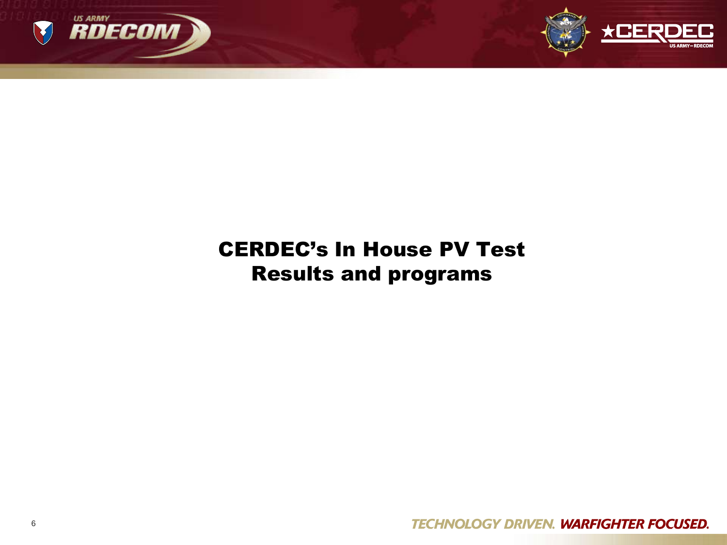



### CERDEC's In House PV Test Results and programs

**TECHNOLOGY DRIVEN. WARFIGHTER FOCUSED.**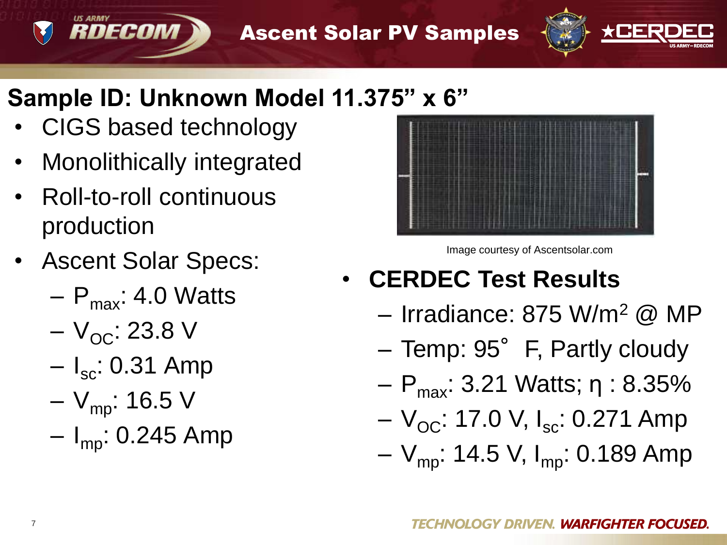Ascent Solar PV Samples



### **Sample ID: Unknown Model 11.375" x 6"**

• CIGS based technology

- Monolithically integrated
- Roll-to-roll continuous production
- Ascent Solar Specs:
	- $P_{\text{max}}$ : 4.0 Watts
	- $-V_{OC}$ : 23.8 V
	- $I_{\rm sc}$ : 0.31 Amp
	- $-V_{\text{mp}}$ : 16.5 V
	- $I_{\text{mo}}$ : 0.245 Amp



Image courtesy of Ascentsolar.com

- **CERDEC Test Results**
	- Irradiance: 875 W/m<sup>2</sup> @ MP
	- Temp: 95° F, Partly cloudy
	- $P_{\text{max}}$ : 3.21 Watts; η : 8.35%
	- $-V_{\text{OC}}$ : 17.0 V, I<sub>sc</sub>: 0.271 Amp
	- $-V_{\text{mp}}$ : 14.5 V, I<sub>mp</sub>: 0.189 Amp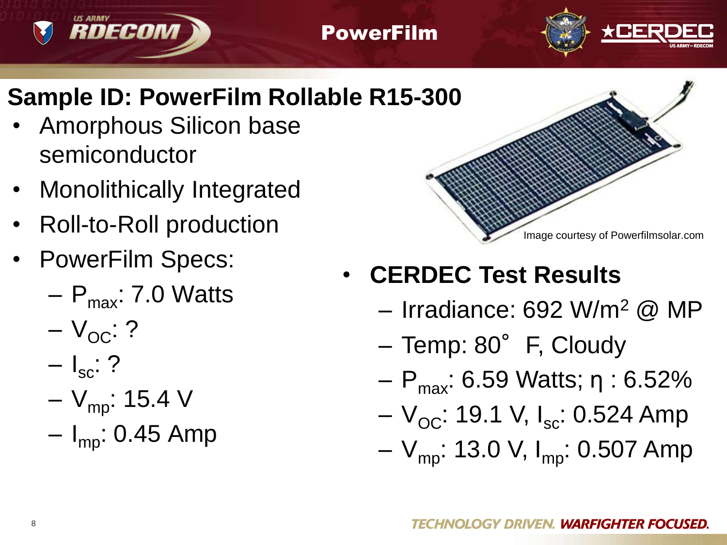#### PowerFilm



### **Sample ID: PowerFilm Rollable R15-300**

- Amorphous Silicon base semiconductor
- Monolithically Integrated
- Roll-to-Roll production
- PowerFilm Specs:

**RDECOM** 

- $P_{\text{max}}$ : 7.0 Watts
- $-V_{\rm OC}$ : ?
- $\mathsf{I}_{\rm sc}$ : ?
- $-V_{\text{mp}}$ : 15.4 V
- $I_{\text{mo}}$ : 0.45 Amp



## • **CERDEC Test Results**

- Irradiance: 692 W/m<sup>2</sup> @ MP
- Temp: 80°F, Cloudy
- $P_{\text{max}}$ : 6.59 Watts; η : 6.52%
- $-V_{\text{OC}}$ : 19.1 V, I<sub>sc</sub>: 0.524 Amp
- $-V_{\text{mp}}$ : 13.0 V, I<sub>mp</sub>: 0.507 Amp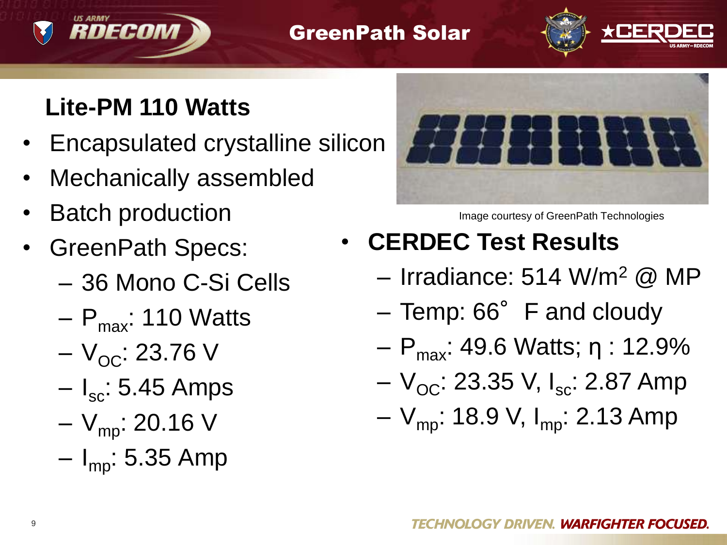#### GreenPath Solar



### **Lite-PM 110 Watts**

RDECOM

- Encapsulated crystalline silicon
- Mechanically assembled
- **Batch production**
- GreenPath Specs:
	- 36 Mono C-Si Cells
	- $P_{\text{max}}$ : 110 Watts
	- $-V_{OC}$ : 23.76 V
	- $I_{\rm sc}$ : 5.45 Amps
	- $-V_{\text{mo}}$ : 20.16 V
	- $I_{\text{mo}}$ : 5.35 Amp



Image courtesy of GreenPath Technologies

- **CERDEC Test Results**
	- Irradiance: 514 W/m<sup>2</sup> @ MP
	- $-$  Temp: 66 $^{\circ}$  F and cloudy
	- $P_{\text{max}}$ : 49.6 Watts; η : 12.9%
	- $-V_{\rm OC}$ : 23.35 V, I<sub>sc</sub>: 2.87 Amp
	- $-V_{\text{mp}}$ : 18.9 V, I<sub>mp</sub>: 2.13 Amp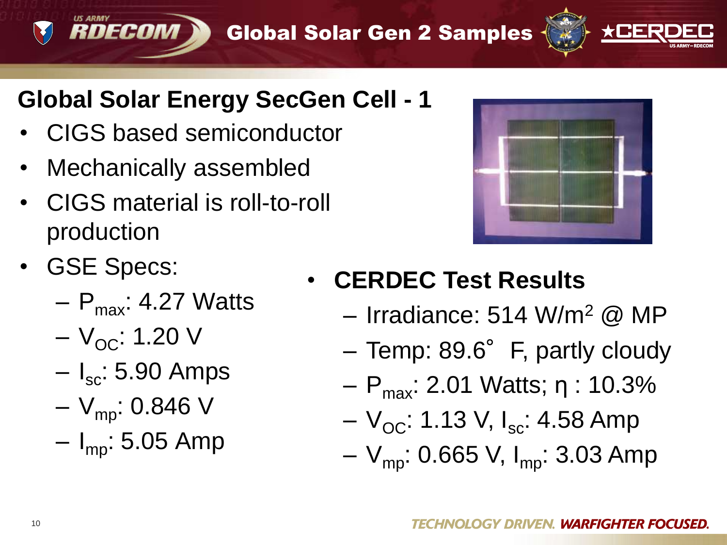Global Solar Gen 2 Samples



### **Global Solar Energy SecGen Cell - 1**

- CIGS based semiconductor
- Mechanically assembled
- CIGS material is roll-to-roll production
- GSE Specs:
	- $P_{\text{max}}$ : 4.27 Watts
	- $-V_{OC}$ : 1.20 V

- $I_{\rm sc}$ : 5.90 Amps
- $-V_{\text{mp}}$ : 0.846 V
- $I_{\text{mo}}$ : 5.05 Amp



- **CERDEC Test Results**
	- $-$  Irradiance: 514 W/m<sup>2</sup> @ MP
	- Temp: 89.6° F, partly cloudy
	- $P_{\text{max}}$ : 2.01 Watts; η : 10.3%
	- $-V_{\rm OC}$ : 1.13 V, I<sub>sc</sub>: 4.58 Amp
	- $-V_{\text{mp}}$ : 0.665 V, I<sub>mp</sub>: 3.03 Amp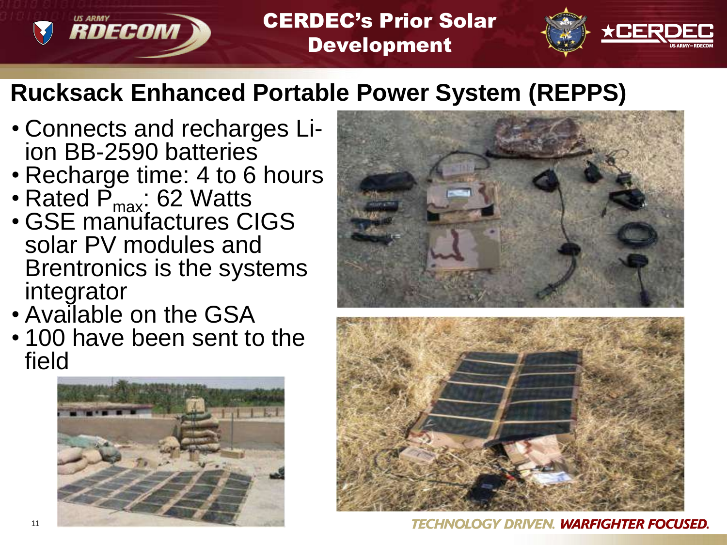#### CERDEC's Prior Solar Development



### **Rucksack Enhanced Portable Power System (REPPS)**

- Connects and recharges Liion BB-2590 batteries
- Recharge time: 4 to 6 hours
- Rated  $\overline{P}_{max}$ : 62 Watts

- GSE manufactures CIGS solar PV modules and Brentronics is the systems integrator
- Available on the GSA
- 100 have been sent to the field







**TECHNOLOGY DRIVEN. WARFIGHTER FOCUSED.**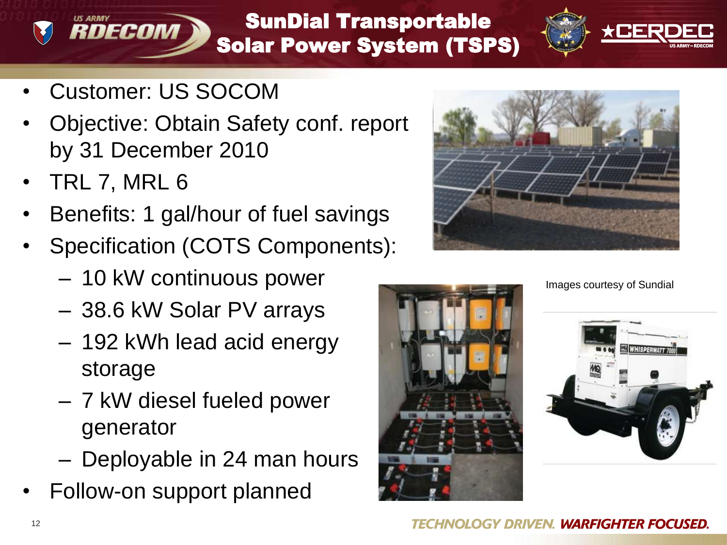#### SunDial Transportable Solar Power System (TSPS)



• Customer: US SOCOM

- Objective: Obtain Safety conf. report by 31 December 2010
- TRL 7, MRL 6
- Benefits: 1 gal/hour of fuel savings
- Specification (COTS Components):
	- 10 kW continuous power
	- 38.6 kW Solar PV arrays
	- 192 kWh lead acid energy storage
	- 7 kW diesel fueled power generator
	- Deployable in 24 man hours
- Follow-on support planned





Images courtesy of Sundial

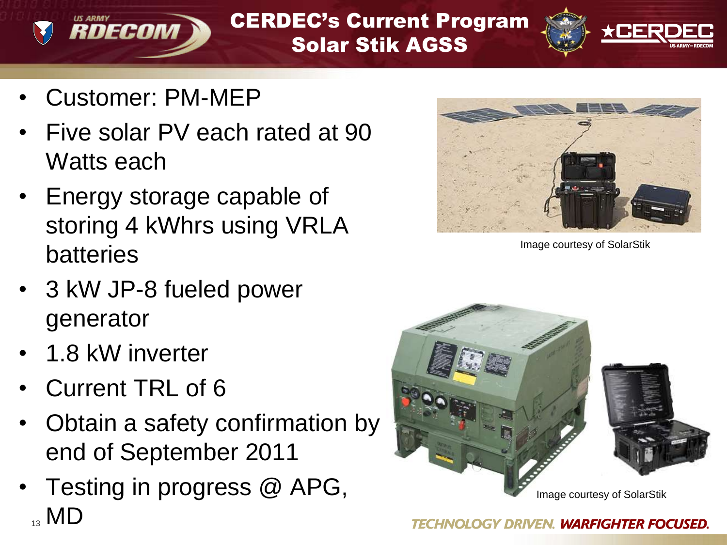CERDEC's Current Program Solar Stik AGSS



• Customer: PM-MEP

- Five solar PV each rated at 90 Watts each
- Energy storage capable of storing 4 kWhrs using VRLA batteries
- 3 kW JP-8 fueled power generator
- 1.8 kW inverter
- Current TRL of 6
- Obtain a safety confirmation by end of September 2011
- Testing in progress @ APG,  $_{13}$  MD



Image courtesy of SolarStik

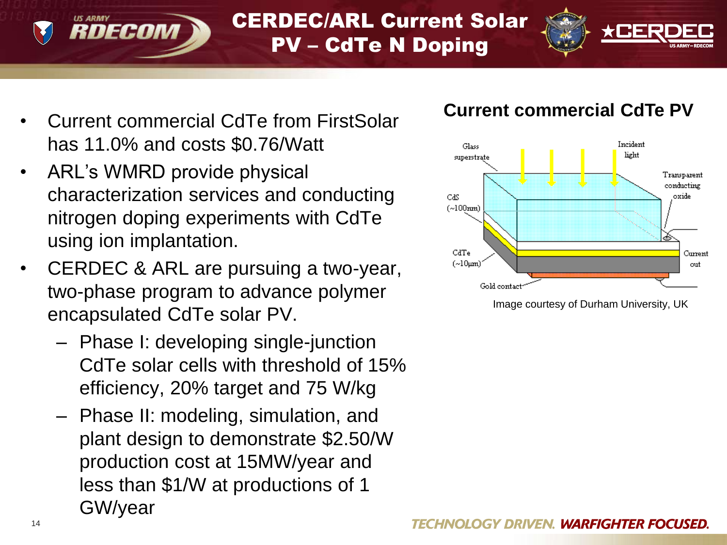

#### CERDEC/ARL Current Solar PV – CdTe N Doping



- Current commercial CdTe from FirstSolar has 11.0% and costs \$0.76/Watt
- ARL's WMRD provide physical characterization services and conducting nitrogen doping experiments with CdTe using ion implantation.
- CERDEC & ARL are pursuing a two-year, two-phase program to advance polymer encapsulated CdTe solar PV.
	- Phase I: developing single-junction CdTe solar cells with threshold of 15% efficiency, 20% target and 75 W/kg
	- Phase II: modeling, simulation, and plant design to demonstrate \$2.50/W production cost at 15MW/year and less than \$1/W at productions of 1 GW/year

#### **Current commercial CdTe PV**



Image courtesy of Durham University, UK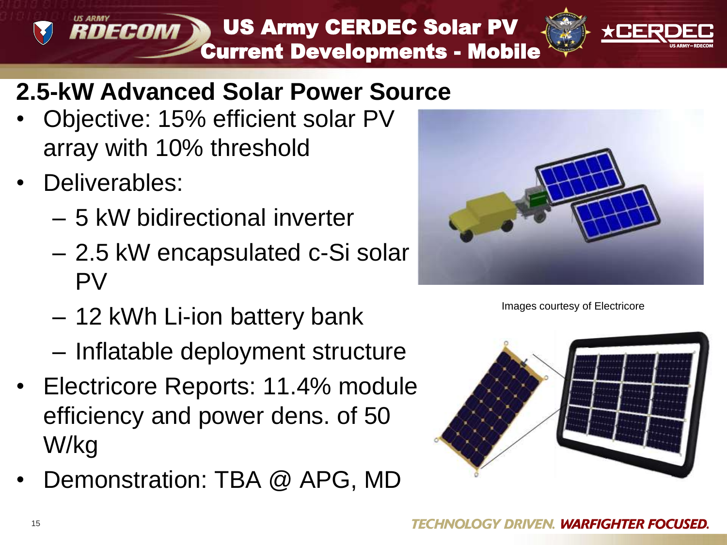RDECOM US Army CERDEC Solar PV Current Developments - Mobile



### **2.5-kW Advanced Solar Power Source**

- Objective: 15% efficient solar PV array with 10% threshold
- Deliverables:
	- 5 kW bidirectional inverter
	- 2.5 kW encapsulated c-Si solar PV
	- 12 kWh Li-ion battery bank
	- Inflatable deployment structure
- Electricore Reports: 11.4% module efficiency and power dens. of 50 W/kg
- Demonstration: TBA @ APG, MD



Images courtesy of Electricore